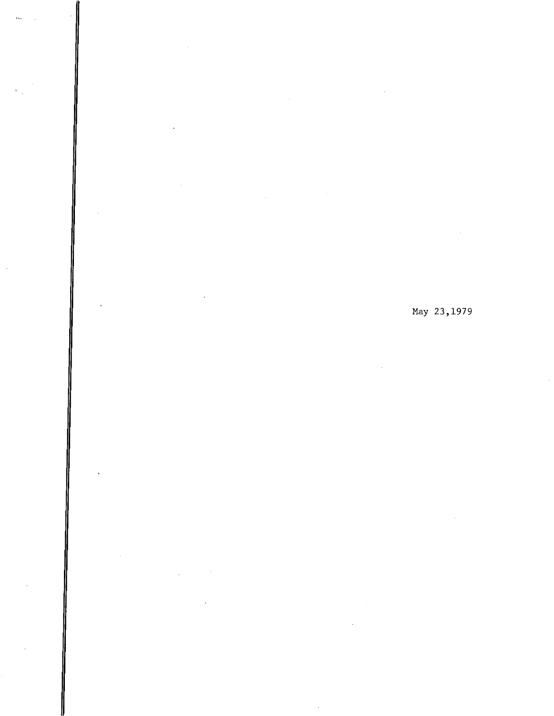## May 23,1979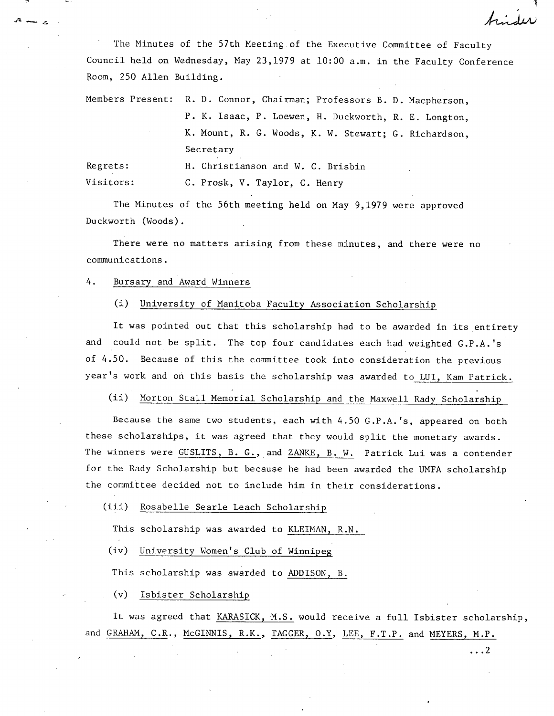The Minutes of the 57th Meeting of the Executive Committee of Faculty Council held on Wednesday, May 23,1979 at 10:00 a.m. in the Faculty Conference Room, 250 Allen Building.

Members Present: R. D. Connor, Chairman; Professors B. D. Macpherson, P. K. Isaac, P. Loewen, H. Duckworth, R. E. Longton, K. Mount, R. G. Woods, K. W. Stewart; G. Richardson, Secretary Regrets: H. Christianson and W. C. Brisbin

Visitors: C. Prosk, V. Taylor, C. Henry

The Minutes of the 56th meeting held on May 9,1979 were approved Duckworth (Woods).

There were no matters arising from these minutes, and there were no communications.

4. Bursary and Award Winners

-<br>- 9

#### University of Manitoba Faculty Association Scholarshi  $(i)$

It was pointed out that this scholarship had to be awarded in its entirety and could not be split. The top four candidates each had weighted G.P.A.'s of 4.50. Because of this the committee took into consideration the previous year's work and on this basis the scholarship was awarded to LUI, Kam Patrick.

 $(ii)$ Morton Stall Memorial Scholarship and the Maxwell Rady Scholarship

Because the same two students, each with 4.50 C.P.A.'s, appeared on both these scholarships, it was agreed that they would split the monetary awards. The winners were GUSLITS, B. G., and ZANKE, B. W. Patrick Lui was a contender for the Rady Scholarship but because he had been awarded the UNFA scholarship the committee decided not to include him in their considerations.

 $(iii)$ Rosabelle Searle Leach Scholarshi

This scholarship was awarded to KLEIMAN, R.N.

(iv) University Women's Club of Winnipeg

This scholarship was awarded to ADDISON, B.

Isbister Scholarship

It was agreed that KARASICK, M.S. would receive a full Isbister scholarship, and GRAHAM, C.R., McGINNIS, R.K., TAGGER, O.Y, LEE, F.T.P. and MEYERS, M.P.

...2

 $4.11$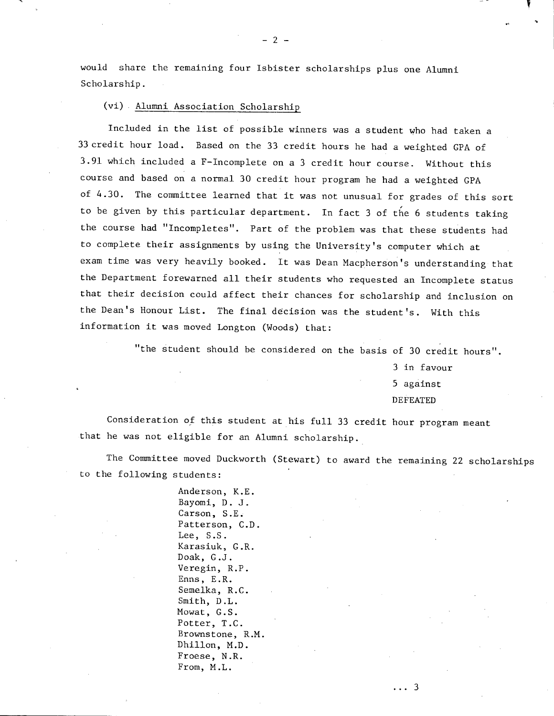would share the remaining four Isbister scholarships plus one Alumni Scholarship.

-2--

(vi) Alumni Association Scholarshi

Included in the list of possible winners was a student who had taken a 33 credit hour load. Based on the 33 credit hours he had a weighted CPA of 3.91 which included a F-Incomplete on a 3 credit hour course. Without this course and based on a normal 30 credit hour program he had a weighted GPA of 4.30. The committee learned that it was not unusual for grades of this sort to be given by this particular department. In fact 3 of the 6 students taking the course had "Incompletes". Part of the problem was that these students had to complete their assignments by using the University's computer which at exam time was very heavily booked. It was Dean Macpherson's understanding that the Department forewarned all their students who requested an Incomplete status that their decision could affect their chances for scholarship and inclusion on the Dean's Honour List. The final decision was the student's. With this information it was moved Longton (Woods) that:

"the student should be considered on the basis of 30 credit hours".

3 in favour 5 against DEFEATED

Consideration of this student at his full 33 credit hour program meant that he was not eligible for an Alumni scholarship.

The Committee moved Duckworth (Stewart) to award the remaining 22 scholarships to the following students:

> Anderson, K.E. Bayomi, D. J. Carson, S.E. Patterson, C.D. Lee, S.S. Karasiuk, G.R. Doak, G.J. Veregin, R.P. Enns, E.R. Semelka, R.C. Smith, D.L. Mowat, G.S. Potter, T.C. Brownstone, R.M. Dhillon, M.D. Froese, N.R. From, M.L.

> > . . . 3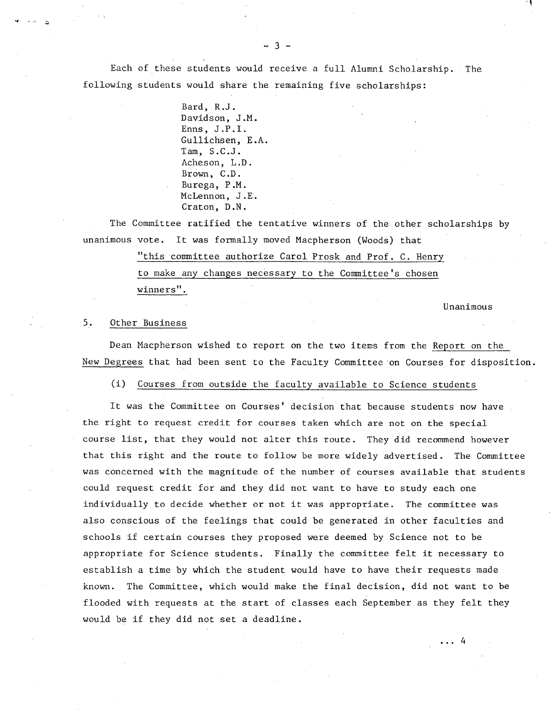Each of these students would receive a full Alumni Scholarship. The following students would share the remaining five scholarships:

> Bard, R.J. Davidson, J.M. Enns, J.P.I. Gullichsen, E.A. Tam, S.C.J. Acheson, L.D. Brown, C.D. Burega, P.M. McLennon, J.E. Craton, D.N.

The Committee ratified the tentative winners of the other scholarships by unanimous vote. It was formally moved Macpherson (Woods) that

> "this committee authorize Carol Prosk and Prof. C. Henry to make any changes necessary to the Committee's chosen winners".

> > Unanimous

 $\ldots$  4

#### 5. Other Business

Dean Macpherson wished to report on the two items from the Report on the New Degrees that had been sent to the Faculty Committee on Courses for disposition.

(i) Courses from outside the faculty available to Science students

It was the Committee on Courses' decision that because students now have the right to request credit for courses taken which are not on the special course list, that they would not alter this route. They did recommend however that this right and the route to follow be more widely advertised. The Committee was concerned with the magnitude of the number of courses available that students could request credit for and they did not want to have to study each one individually to decide whether or not it was appropriate. The committee was also conscious of the feelings that could be generated in other faculties and schools if certain courses they proposed were deemed by Science not to be appropriate for Science students. Finally the committee felt it necessary to establish a time by which the student would have to have their requests made known. The Committee, which would make the final decision, did not want to be flooded with requests at the start of classes each September as they felt they would be if they did not set a deadline.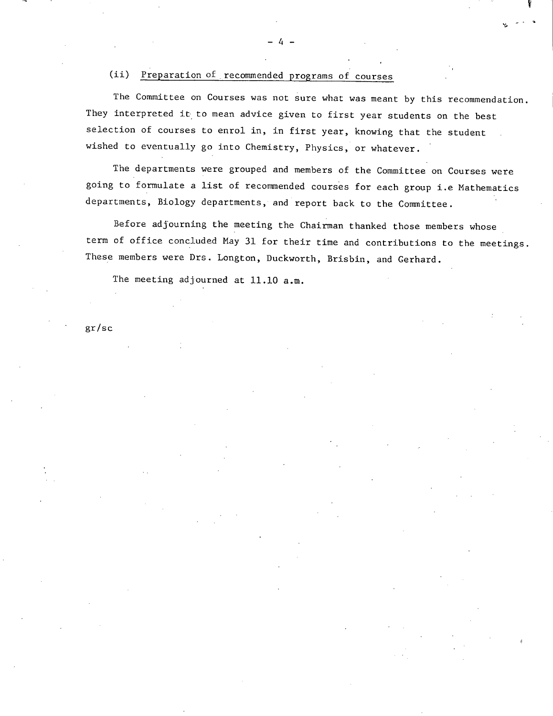#### (ii) Preparation of recommended programs of courses

The Committee on Courses was not sure what was meant by this recommendation. They interpreted it to mean advice given to first year students on the best selection of courses to enrol in, in first year, knowing that the student wished to eventually go into Chemistry, Physics, or whatever.

**11** 

The departments were grouped and members of the Committee on Courses were going to formulate a list of recommended courses for each group i.e Mathematics departments, Biology departments, and report back to the Committee.

Before adjourning the meeting the Chairman thanked those members whose term of office concluded May 31 for their time and contributions to the meetings. These members were Drs. Longton, Duckworth, Brisbin, and Cerhard.

The meeting adjourned at 11.10 a.m.

gr/sc